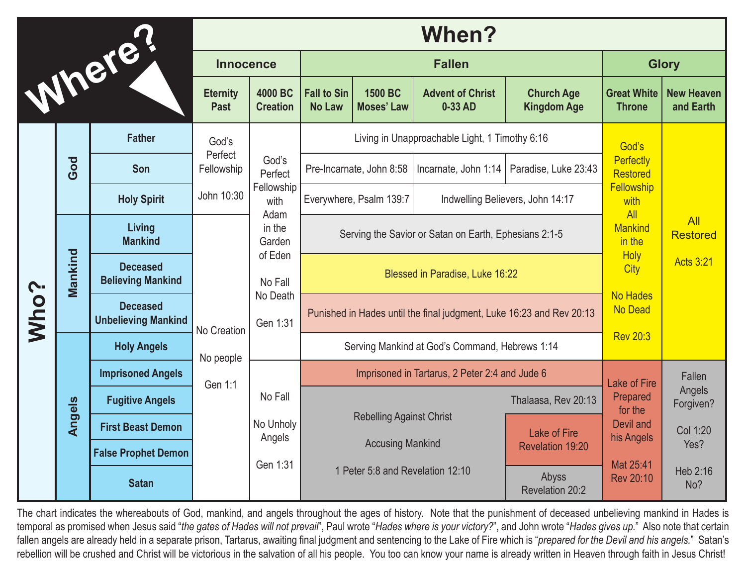| Where! |         |                                               | When?                               |                                                                                                                  |                                                                                                |                              |                                    |                                         |                                                                                                         |                                |
|--------|---------|-----------------------------------------------|-------------------------------------|------------------------------------------------------------------------------------------------------------------|------------------------------------------------------------------------------------------------|------------------------------|------------------------------------|-----------------------------------------|---------------------------------------------------------------------------------------------------------|--------------------------------|
|        |         | <b>Innocence</b>                              |                                     | <b>Fallen</b>                                                                                                    |                                                                                                |                              |                                    | <b>Glory</b>                            |                                                                                                         |                                |
|        |         |                                               | <b>Eternity</b><br><b>Past</b>      | 4000 BC<br><b>Creation</b>                                                                                       | <b>Fall to Sin</b><br><b>No Law</b>                                                            | 1500 BC<br><b>Moses' Law</b> | <b>Advent of Christ</b><br>0-33 AD | <b>Church Age</b><br><b>Kingdom Age</b> | <b>Great White</b><br><b>Throne</b>                                                                     | <b>New Heaven</b><br>and Earth |
| Who?   | God     | <b>Father</b>                                 | God's<br>Perfect<br>Fellowship      | God's<br>Perfect<br>Fellowship<br>with<br>Adam<br>in the<br>Garden<br>of Eden<br>No Fall<br>No Death<br>Gen 1:31 | Living in Unapproachable Light, 1 Timothy 6:16                                                 |                              |                                    |                                         | God's                                                                                                   |                                |
|        |         | Son                                           |                                     |                                                                                                                  |                                                                                                | Pre-Incarnate, John 8:58     | Incarnate, John 1:14               | Paradise, Luke 23:43                    | Perfectly<br><b>Restored</b>                                                                            |                                |
|        |         | <b>Holy Spirit</b>                            | John 10:30                          |                                                                                                                  |                                                                                                | Everywhere, Psalm 139:7      |                                    | Indwelling Believers, John 14:17        | <b>Fellowship</b><br>with<br>All                                                                        |                                |
|        | Mankind | Living<br><b>Mankind</b>                      |                                     |                                                                                                                  | Serving the Savior or Satan on Earth, Ephesians 2:1-5                                          |                              |                                    |                                         | <b>Mankind</b><br>in the<br><b>Holy</b><br>City<br><b>No Hades</b><br><b>No Dead</b><br><b>Rev 20:3</b> | All<br><b>Restored</b>         |
|        |         | <b>Deceased</b><br><b>Believing Mankind</b>   | No Creation<br>No people<br>Gen 1:1 |                                                                                                                  | Blessed in Paradise, Luke 16:22                                                                |                              |                                    |                                         |                                                                                                         | <b>Acts 3:21</b>               |
|        |         | <b>Deceased</b><br><b>Unbelieving Mankind</b> |                                     |                                                                                                                  | Punished in Hades until the final judgment, Luke 16:23 and Rev 20:13                           |                              |                                    |                                         |                                                                                                         |                                |
|        | Angels  | <b>Holy Angels</b>                            |                                     |                                                                                                                  | Serving Mankind at God's Command, Hebrews 1:14                                                 |                              |                                    |                                         |                                                                                                         |                                |
|        |         | <b>Imprisoned Angels</b>                      |                                     | No Fall<br>No Unholy<br>Angels<br>Gen 1:31                                                                       | Imprisoned in Tartarus, 2 Peter 2:4 and Jude 6                                                 |                              |                                    |                                         | <b>Lake of Fire</b>                                                                                     | Fallen                         |
|        |         | <b>Fugitive Angels</b>                        |                                     |                                                                                                                  |                                                                                                |                              |                                    | Thalaasa, Rev 20:13                     | Prepared<br>for the<br>Devil and<br>his Angels<br>Mat 25:41<br>Rev 20:10                                | Angels<br>Forgiven?            |
|        |         | <b>First Beast Demon</b>                      |                                     |                                                                                                                  | <b>Rebelling Against Christ</b><br><b>Accusing Mankind</b><br>1 Peter 5:8 and Revelation 12:10 |                              | Lake of Fire<br>Revelation 19:20   | Col 1:20<br>Yes?                        |                                                                                                         |                                |
|        |         | <b>False Prophet Demon</b>                    |                                     |                                                                                                                  |                                                                                                |                              |                                    |                                         |                                                                                                         |                                |
|        |         | <b>Satan</b>                                  |                                     |                                                                                                                  |                                                                                                |                              | Abyss<br><b>Revelation 20:2</b>    | Heb 2:16<br>No?                         |                                                                                                         |                                |

The chart indicates the whereabouts of God, mankind, and angels throughout the ages of history. Note that the punishment of deceased unbelieving mankind in Hades is temporal as promised when Jesus said "*the gates of Hades will not prevail*", Paul wrote "*Hades where is your victory?*", and John wrote "*Hades gives up.*" Also note that certain fallen angels are already held in a separate prison, Tartarus, awaiting final judgment and sentencing to the Lake of Fire which is "*prepared for the Devil and his angels.*" Satan's rebellion will be crushed and Christ will be victorious in the salvation of all his people. You too can know your name is already written in Heaven through faith in Jesus Christ!